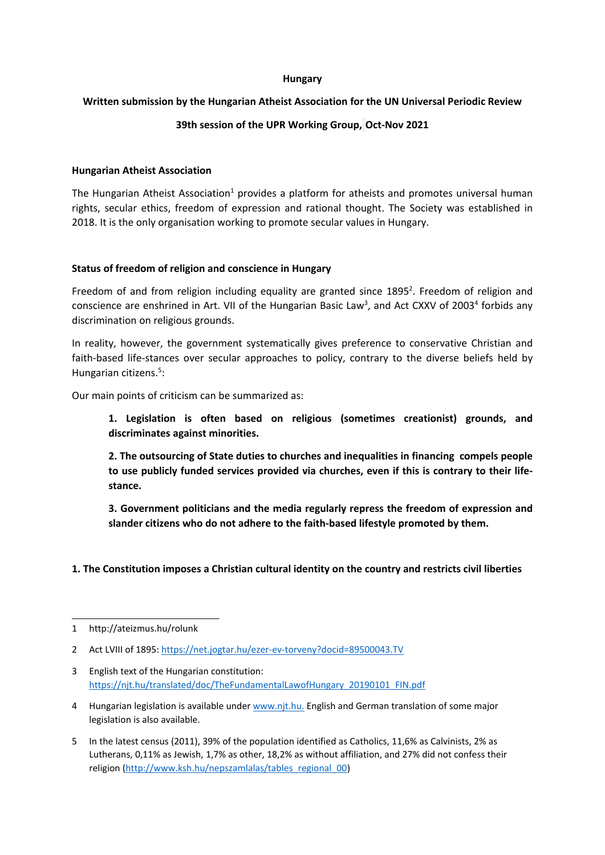#### **Hungary**

### **Written submission by the Hungarian Atheist Association for the UN Universal Periodic Review**

# **39th session of the UPR Working Group, Oct-Nov 2021**

### **Hungarian Atheist Association**

The Hungarian Atheist Association<sup>1</sup> provides a platform for atheists and promotes universal human rights, secular ethics, freedom of expression and rational thought. The Society was established in 2018. It is the only organisation working to promote secular values in Hungary.

## **Status of freedom of religion and conscience in Hungary**

Freedom of and from religion including equality are granted since 1895<sup>2</sup>. Freedom of religion and conscience are enshrined in Art. VII of the Hungarian Basic Law<sup>3</sup>, and Act CXXV of 2003<sup>4</sup> forbids any discrimination on religious grounds.

In reality, however, the government systematically gives preference to conservative Christian and faith-based life-stances over secular approaches to policy, contrary to the diverse beliefs held by Hungarian citizens.<sup>5</sup>:

Our main points of criticism can be summarized as:

**1. Legislation is often based on religious (sometimes creationist) grounds, and discriminates against minorities.**

**2. The outsourcing of State duties to churches and inequalities in financing compels people to use publicly funded services provided via churches, even if this is contrary to their lifestance.**

**3. Government politicians and the media regularly repress the freedom of expression and slander citizens who do not adhere to the faith-based lifestyle promoted by them.**

**1. The Constitution imposes <sup>a</sup> Christian cultural identity on the country and restricts civil liberties**

<sup>1</sup> http://ateizmus.hu/rolunk

<sup>2</sup> Act LVIII of 1895: <https://net.jogtar.hu/ezer-ev-torveny?docid=89500043.TV>

<sup>3</sup> English text of the Hungarian constitution: [https://njt.hu/translated/doc/TheFundamentalLawofHungary\\_20190101\\_FIN.pdf](https://njt.hu/translated/doc/TheFundamentalLawofHungary_20190101_FIN.pdf)

<sup>4</sup> Hungarian legislation is available under [www.njt.hu](http://www.njt.hu/). English and German translation of some major legislation is also available.

<sup>5</sup> In the latest census (2011), 39% of the population identified as Catholics, 11,6% as Calvinists, 2% as Lutherans, 0,11% as Jewish, 1,7% as other, 18,2% as without affiliation, and 27% did not confess their religion ([http://www.ksh.hu/nepszamlalas/tables\\_regional\\_00](http://www.ksh.hu/nepszamlalas/tables_regional_00))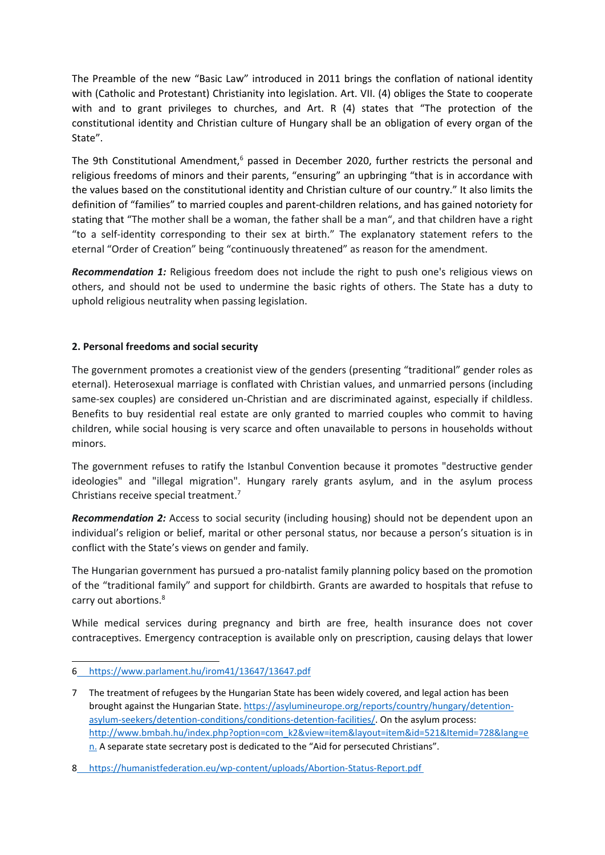The Preamble of the new "Basic Law" introduced in 2011 brings the conflation of national identity with (Catholic and Protestant) Christianity into legislation. Art. VII. (4) obliges the State to cooperate with and to grant privileges to churches, and Art. R (4) states that "The protection of the constitutional identity and Christian culture of Hungary shall be an obligation of every organ of the State".

The 9th Constitutional Amendment,<sup>6</sup> passed in December 2020, further restricts the personal and religious freedoms of minors and their parents, "ensuring" an upbringing "that is in accordance with the values based on the constitutional identity and Christian culture of our country." It also limits the definition of "families" to married couples and parent-children relations, and has gained notoriety for stating that "The mother shall be <sup>a</sup> woman, the father shall be <sup>a</sup> man", and that children have <sup>a</sup> right "to <sup>a</sup> self-identity corresponding to their sex at birth." The explanatory statement refers to the eternal "Order of Creation" being "continuously threatened" as reason for the amendment.

*Recommendation 1:* Religious freedom does not include the right to push one's religious views on others, and should not be used to undermine the basic rights of others. The State has <sup>a</sup> duty to uphold religious neutrality when passing legislation.

## **2. Personal freedoms and social security**

The government promotes <sup>a</sup> creationist view of the genders (presenting "traditional" gender roles as eternal). Heterosexual marriage is conflated with Christian values, and unmarried persons (including same-sex couples) are considered un-Christian and are discriminated against, especially if childless. Benefits to buy residential real estate are only granted to married couples who commit to having children, while social housing is very scarce and often unavailable to persons in households without minors.

The government refuses to ratify the Istanbul Convention because it promotes "destructive gender ideologies" and "illegal migration". Hungary rarely grants asylum, and in the asylum process Christians receive special treatment.<sup>7</sup>

*Recommendation 2:* Access to social security (including housing) should not be dependent upon an individual'<sup>s</sup> religion or belief, marital or other personal status, nor because <sup>a</sup> person'<sup>s</sup> situation is in conflict with the State'<sup>s</sup> views on gender and family.

The Hungarian government has pursued <sup>a</sup> pro-natalist family planning policy based on the promotion of the "traditional family" and support for childbirth. Grants are awarded to hospitals that refuse to carry out abortions. 8

While medical services during pregnancy and birth are free, health insurance does not cover contraceptives. Emergency contraception is available only on prescription, causing delays that lower

<sup>6</sup> <https://www.parlament.hu/irom41/13647/13647.pdf>

<sup>7</sup> The treatment of refugees by the Hungarian State has been widely covered, and legal action has been brought against the Hungarian State. [https://asylumineurope.org/reports/country/hungary/detention](https://asylumineurope.org/reports/country/hungary/detention-asylum-seekers/detention-conditions/conditions-detention-facilities/)[asylum-seekers/detention-conditions/conditions-detention-facilities/](https://asylumineurope.org/reports/country/hungary/detention-asylum-seekers/detention-conditions/conditions-detention-facilities/). On the asylum process: [http://www.bmbah.hu/index.php?option=com\\_k2&view=item&layout=item&id=521&Itemid=728&lang=e](http://www.bmbah.hu/index.php?option=com_k2&view=item&layout=item&id=521&Itemid=728&lang=en) [n](http://www.bmbah.hu/index.php?option=com_k2&view=item&layout=item&id=521&Itemid=728&lang=en). A separate state secretary post is dedicated to the "Aid for persecuted Christians".

<sup>8</sup> <https://humanistfederation.eu/wp-content/uploads/Abortion-Status-Report.pdf>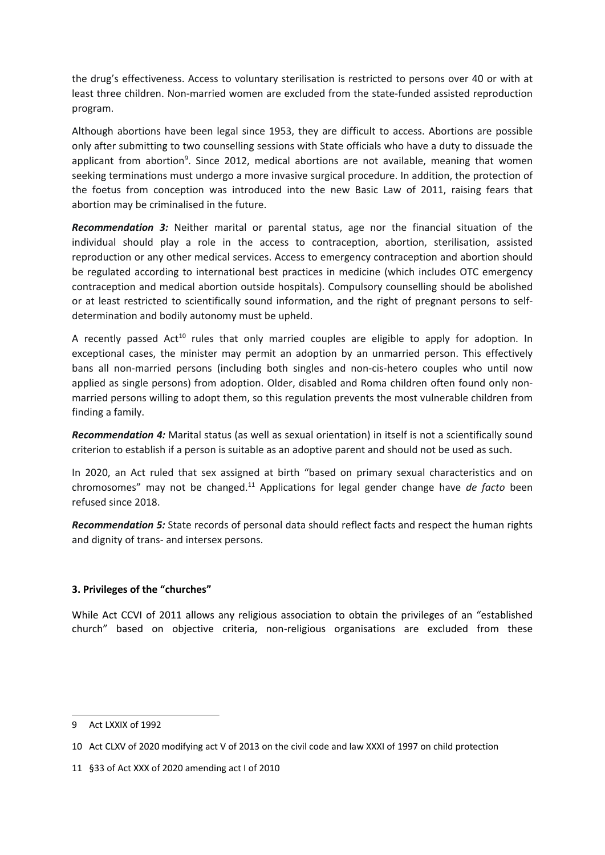the drug'<sup>s</sup> effectiveness. Access to voluntary sterilisation is restricted to persons over 40 or with at least three children. Non-married women are excluded from the state-funded assisted reproduction program.

Although abortions have been legal since 1953, they are difficult to access. Abortions are possible only after submitting to two counselling sessions with State officials who have <sup>a</sup> duty to dissuade the applicant from abortion<sup>9</sup>. Since 2012, medical abortions are not available, meaning that women seeking terminations must undergo <sup>a</sup> more invasive surgical procedure. In addition, the protection of the foetus from conception was introduced into the new Basic Law of 2011, raising fears that abortion may be criminalised in the future.

*Recommendation 3:* Neither marital or parental status, age nor the financial situation of the individual should play <sup>a</sup> role in the access to contraception, abortion, sterilisation, assisted reproduction or any other medical services. Access to emergency contraception and abortion should be regulated according to international best practices in medicine (which includes OTC emergency contraception and medical abortion outside hospitals). Compulsory counselling should be abolished or at least restricted to scientifically sound information, and the right of pregnant persons to selfdetermination and bodily autonomy must be upheld.

A recently passed  $Act^{10}$  rules that only married couples are eligible to apply for adoption. In exceptional cases, the minister may permit an adoption by an unmarried person. This effectively bans all non-married persons (including both singles and non-cis-hetero couples who until now applied as single persons) from adoption. Older, disabled and Roma children often found only nonmarried persons willing to adopt them, so this regulation prevents the most vulnerable children from finding <sup>a</sup> family.

*Recommendation 4:* Marital status (as well as sexual orientation) in itself is not <sup>a</sup> scientifically sound criterion to establish if <sup>a</sup> person is suitable as an adoptive parent and should not be used as such.

In 2020, an Act ruled that sex assigned at birth "based on primary sexual characteristics and on chromosomes" may not be changed.<sup>11</sup> Applications for legal gender change have *de facto* been refused since 2018.

*Recommendation 5:* State records of personal data should reflect facts and respect the human rights and dignity of trans- and intersex persons.

### **3. Privileges of the "churches"**

While Act CCVI of 2011 allows any religious association to obtain the privileges of an "established church" based on objective criteria, non-religious organisations are excluded from these

<sup>9</sup> Act LXXIX of 1992

<sup>10</sup> Act CLXV of 2020 modifying act V of 2013 on the civil code and law XXXI of 1997 on child protection

<sup>11</sup> §33 of Act XXX of 2020 amending act I of 2010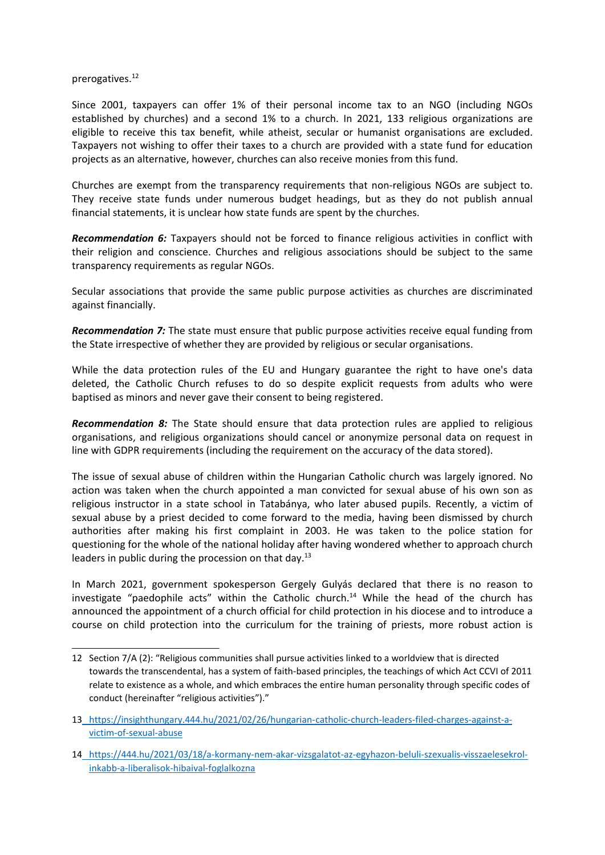prerogatives. 12

Since 2001, taxpayers can offer 1% of their personal income tax to an NGO (including NGOs established by churches) and <sup>a</sup> second 1% to <sup>a</sup> church. In 2021, 133 religious organizations are eligible to receive this tax benefit, while atheist, secular or humanist organisations are excluded. Taxpayers not wishing to offer their taxes to <sup>a</sup> church are provided with <sup>a</sup> state fund for education projects as an alternative, however, churches can also receive monies from this fund.

Churches are exempt from the transparency requirements that non-religious NGOs are subject to. They receive state funds under numerous budget headings, but as they do not publish annual financial statements, it is unclear how state funds are spent by the churches.

*Recommendation 6:* Taxpayers should not be forced to finance religious activities in conflict with their religion and conscience. Churches and religious associations should be subject to the same transparency requirements as regular NGOs.

Secular associations that provide the same public purpose activities as churches are discriminated against financially.

*Recommendation 7:* The state must ensure that public purpose activities receive equal funding from the State irrespective of whether they are provided by religious or secular organisations.

While the data protection rules of the EU and Hungary guarantee the right to have one's data deleted, the Catholic Church refuses to do so despite explicit requests from adults who were baptised as minors and never gave their consent to being registered.

*Recommendation 8:* The State should ensure that data protection rules are applied to religious organisations, and religious organizations should cancel or anonymize personal data on request in line with GDPR requirements (including the requirement on the accuracy of the data stored).

The issue of sexual abuse of children within the Hungarian Catholic church was largely ignored. No action was taken when the church appointed <sup>a</sup> man convicted for sexual abuse of his own son as religious instructor in <sup>a</sup> state school in Tatabánya, who later abused pupils. Recently, <sup>a</sup> victim of sexual abuse by <sup>a</sup> priest decided to come forward to the media, having been dismissed by church authorities after making his first complaint in 2003. He was taken to the police station for questioning for the whole of the national holiday after having wondered whether to approach church leaders in public during the procession on that day.<sup>13</sup>

In March 2021, government spokesperson Gergely Gulyás declared that there is no reason to investigate "paedophile acts" within the Catholic church.<sup>14</sup> While the head of the church has announced the appointment of <sup>a</sup> church official for child protection in his diocese and to introduce <sup>a</sup> course on child protection into the curriculum for the training of priests, more robust action is

<sup>12</sup> Section 7/A (2): "Religious communities shall pursue activities linked to <sup>a</sup> worldview that is directed towards the transcendental, has <sup>a</sup> system of faith-based principles, the teachings of which Act CCVI of 2011 relate to existence as <sup>a</sup> whole, and which embraces the entire human personality through specific codes of conduct (hereinafter "religious activities")."

<sup>13</sup> [https://insighthungary.444.hu/2021/02/26/hungarian-catholic-church-leaders-filed-charges-against-a](https://insighthungary.444.hu/2021/02/26/hungarian-catholic-church-leaders-filed-charges-against-a-victim-of-sexual-abuse)[victim-of-sexual-abuse](https://insighthungary.444.hu/2021/02/26/hungarian-catholic-church-leaders-filed-charges-against-a-victim-of-sexual-abuse)

<sup>14</sup> [https://444.hu/2021/03/18/a-kormany-nem-akar-vizsgalatot-az-egyhazon-beluli-szexualis-visszaelesekrol](https://444.hu/2021/03/18/a-kormany-nem-akar-vizsgalatot-az-egyhazon-beluli-szexualis-visszaelesekrol-inkabb-a-liberalisok-hibaival-foglalkozna)[inkabb-a-liberalisok-hibaival-foglalkozna](https://444.hu/2021/03/18/a-kormany-nem-akar-vizsgalatot-az-egyhazon-beluli-szexualis-visszaelesekrol-inkabb-a-liberalisok-hibaival-foglalkozna)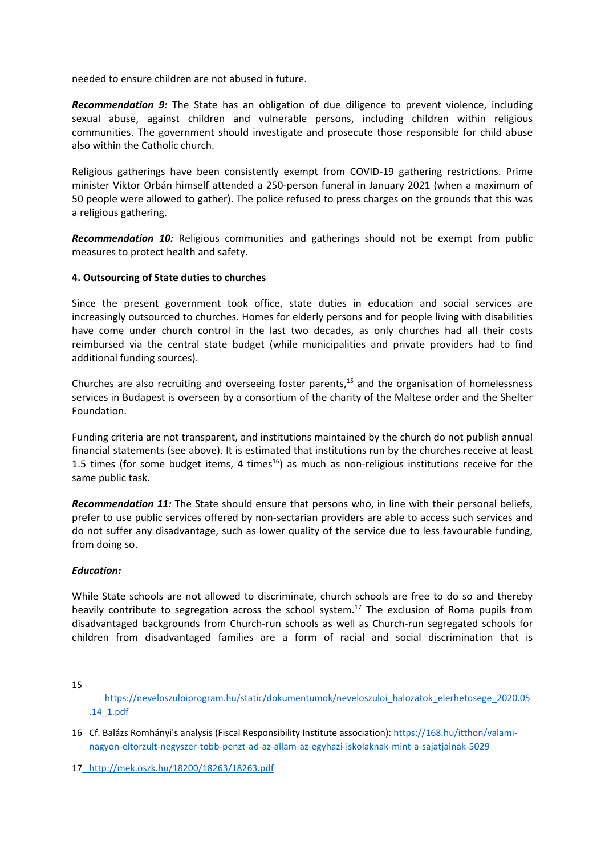needed to ensure children are not abused in future.

*Recommendation 9:* The State has an obligation of due diligence to prevent violence, including sexual abuse, against children and vulnerable persons, including children within religious communities. The government should investigate and prosecute those responsible for child abuse also within the Catholic church.

Religious gatherings have been consistently exempt from COVID-19 gathering restrictions. Prime minister Viktor Orbán himself attended <sup>a</sup> 250-person funeral in January 2021 (when <sup>a</sup> maximum of 50 people were allowed to gather). The police refused to press charges on the grounds that this was <sup>a</sup> religious gathering.

*Recommendation 10:* Religious communities and gatherings should not be exempt from public measures to protect health and safety.

#### **4. Outsourcing of State duties to churches**

Since the present government took office, state duties in education and social services are increasingly outsourced to churches. Homes for elderly persons and for people living with disabilities have come under church control in the last two decades, as only churches had all their costs reimbursed via the central state budget (while municipalities and private providers had to find additional funding sources).

Churches are also recruiting and overseeing foster parents,<sup>15</sup> and the organisation of homelessness services in Budapest is overseen by <sup>a</sup> consortium of the charity of the Maltese order and the Shelter Foundation.

Funding criteria are not transparent, and institutions maintained by the church do not publish annual financial statements (see above). It is estimated that institutions run by the churches receive at least 1.5 times (for some budget items, 4 times $^{16}$ ) as much as non-religious institutions receive for the same public task.

*Recommendation 11:* The State should ensure that persons who, in line with their personal beliefs, prefer to use public services offered by non-sectarian providers are able to access such services and do not suffer any disadvantage, such as lower quality of the service due to less favourable funding, from doing so.

### *Education:*

While State schools are not allowed to discriminate, church schools are free to do so and thereby heavily contribute to segregation across the school system.<sup>17</sup> The exclusion of Roma pupils from disadvantaged backgrounds from Church-run schools as well as Church-run segregated schools for children from disadvantaged families are <sup>a</sup> form of racial and social discrimination that is

15

[https://neveloszuloiprogram.hu/static/dokumentumok/neveloszuloi\\_halozatok\\_elerhetosege\\_2020.05](https://neveloszuloiprogram.hu/static/dokumentumok/neveloszuloi_halozatok_elerhetosege_2020.05.14_1.pdf) [.14\\_1.pdf](https://neveloszuloiprogram.hu/static/dokumentumok/neveloszuloi_halozatok_elerhetosege_2020.05.14_1.pdf)

<sup>16</sup> Cf. Balázs Romhányi's analysis (Fiscal Responsibility Institute association): [https://168.hu/itthon/valami](https://168.hu/itthon/valami-nagyon-eltorzult-negyszer-tobb-penzt-ad-az-allam-az-egyhazi-iskolaknak-mint-a-sajatjainak-5029)[nagyon-eltorzult-negyszer-tobb-penzt-ad-az-allam-az-egyhazi-iskolaknak-mint-a-sajatjainak-5029](https://168.hu/itthon/valami-nagyon-eltorzult-negyszer-tobb-penzt-ad-az-allam-az-egyhazi-iskolaknak-mint-a-sajatjainak-5029)

<sup>17</sup> <http://mek.oszk.hu/18200/18263/18263.pdf>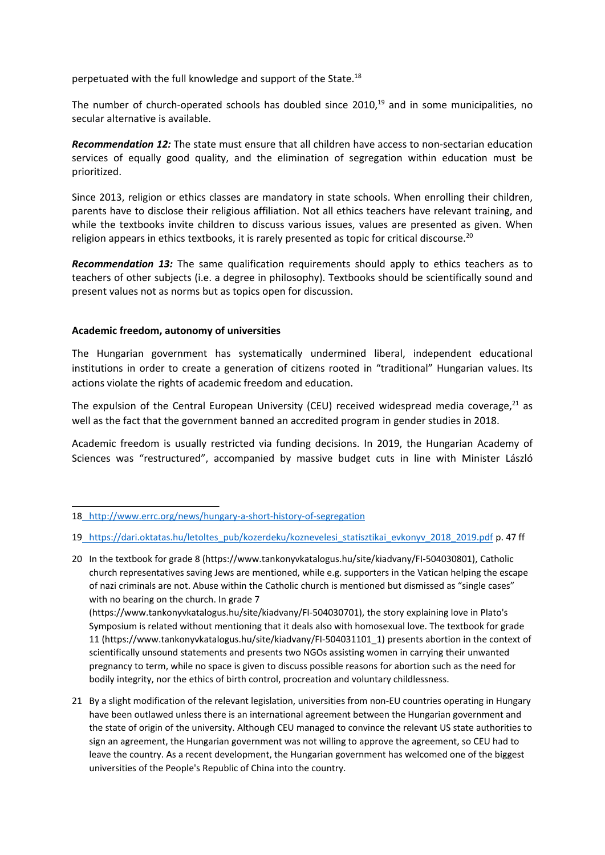perpetuated with the full knowledge and support of the State.<sup>18</sup>

The number of church-operated schools has doubled since 2010,<sup>19</sup> and in some municipalities, no secular alternative is available.

*Recommendation 12:* The state must ensure that all children have access to non-sectarian education services of equally good quality, and the elimination of segregation within education must be prioritized.

Since 2013, religion or ethics classes are mandatory in state schools. When enrolling their children, parents have to disclose their religious affiliation. Not all ethics teachers have relevant training, and while the textbooks invite children to discuss various issues, values are presented as given. When religion appears in ethics textbooks, it is rarely presented as topic for critical discourse.<sup>20</sup>

*Recommendation 13:* The same qualification requirements should apply to ethics teachers as to teachers of other subjects (i.e. <sup>a</sup> degree in philosophy). Textbooks should be scientifically sound and present values not as norms but as topics open for discussion.

## **Academic freedom, autonomy of universities**

The Hungarian government has systematically undermined liberal, independent educational institutions in order to create <sup>a</sup> generation of citizens rooted in "traditional" Hungarian values. Its actions violate the rights of academic freedom and education.

The expulsion of the Central European University (CEU) received widespread media coverage, $^{21}$  as well as the fact that the government banned an accredited program in gender studies in 2018.

Academic freedom is usually restricted via funding decisions. In 2019, the Hungarian Academy of Sciences was "restructured", accompanied by massive budget cuts in line with Minister László

bodily integrity, nor the ethics of birth control, procreation and voluntary childlessness.

<sup>18</sup> <http://www.errc.org/news/hungary-a-short-history-of-segregation>

<sup>19</sup> [https://dari.oktatas.hu/letoltes\\_pub/kozerdeku/koznevelesi\\_statisztikai\\_evkonyv\\_2018\\_2019.pdf](https://dari.oktatas.hu/letoltes_pub/kozerdeku/koznevelesi_statisztikai_evkonyv_2018_2019.pdf) p. 47 ff

<sup>20</sup> In the textbook for grade 8 (https://www.tankonyvkatalogus.hu/site/kiadvany/FI-504030801), Catholic church representatives saving Jews are mentioned, while e.g. supporters in the Vatican helping the escape of nazi criminals are not. Abuse within the Catholic church is mentioned but dismissed as "single cases" with no bearing on the church. In grade 7 (https://www.tankonyvkatalogus.hu/site/kiadvany/FI-504030701), the story explaining love in Plato's Symposium is related without mentioning that it deals also with homosexual love. The textbook for grade 11 (https://www.tankonyvkatalogus.hu/site/kiadvany/FI-504031101\_1) presents abortion in the context of scientifically unsound statements and presents two NGOs assisting women in carrying their unwanted pregnancy to term, while no space is given to discuss possible reasons for abortion such as the need for

<sup>21</sup> By <sup>a</sup> slight modification of the relevant legislation, universities from non-EU countries operating in Hungary have been outlawed unless there is an international agreement between the Hungarian government and the state of origin of the university. Although CEU managed to convince the relevant US state authorities to sign an agreement, the Hungarian government was not willing to approve the agreement, so CEU had to leave the country. As <sup>a</sup> recent development, the Hungarian government has welcomed one of the biggest universities of the People's Republic of China into the country.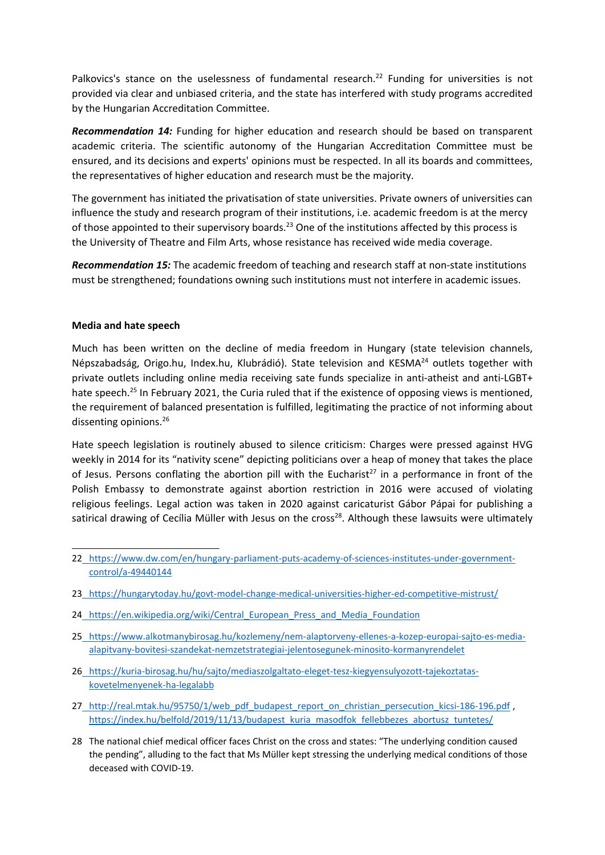Palkovics's stance on the uselessness of fundamental research.<sup>22</sup> Funding for universities is not provided via clear and unbiased criteria, and the state has interfered with study programs accredited by the Hungarian Accreditation Committee.

*Recommendation 14:* Funding for higher education and research should be based on transparent academic criteria. The scientific autonomy of the Hungarian Accreditation Committee must be ensured, and its decisions and experts' opinions must be respected. In all its boards and committees, the representatives of higher education and research must be the majority.

The government has initiated the privatisation of state universities. Private owners of universities can influence the study and research program of their institutions, i.e. academic freedom is at the mercy of those appointed to their supervisory boards.<sup>23</sup> One of the institutions affected by this process is the University of Theatre and Film Arts, whose resistance has received wide media coverage.

*Recommendation 15:* The academic freedom of teaching and research staff at non-state institutions must be strengthened; foundations owning such institutions must not interfere in academic issues.

### **Media and hate speech**

Much has been written on the decline of media freedom in Hungary (state television channels, Népszabadság, Origo.hu, Index.hu, Klubrádió). State television and KESMA<sup>24</sup> outlets together with private outlets including online media receiving sate funds specialize in anti-atheist and anti-LGBT+ hate speech.<sup>25</sup> In February 2021, the Curia ruled that if the existence of opposing views is mentioned, the requirement of balanced presentation is fulfilled, legitimating the practice of not informing about dissenting opinions.<sup>26</sup>

Hate speech legislation is routinely abused to silence criticism: Charges were pressed against HVG weekly in 2014 for its "nativity scene" depicting politicians over <sup>a</sup> heap of money that takes the place of Jesus. Persons conflating the abortion pill with the Eucharist<sup>27</sup> in a performance in front of the Polish Embassy to demonstrate against abortion restriction in 2016 were accused of violating religious feelings. Legal action was taken in 2020 against caricaturist Gábor Pápai for publishing <sup>a</sup> satirical drawing of Cecília Müller with Jesus on the cross<sup>28</sup>. Although these lawsuits were ultimately

- 24 https://en.wikipedia.org/wiki/Central European Press and Media Foundation
- 25 [https://www.alkotmanybirosag.hu/kozlemeny/nem-alaptorveny-ellenes-a-kozep-europai-sajto-es-media](https://www.alkotmanybirosag.hu/kozlemeny/nem-alaptorveny-ellenes-a-kozep-europai-sajto-es-media-alapitvany-bovitesi-szandekat-nemzetstrategiai-jelentosegunek-minosito-kormanyrendelet)[alapitvany-bovitesi-szandekat-nemzetstrategiai-jelentosegunek-minosito-kormanyrendelet](https://www.alkotmanybirosag.hu/kozlemeny/nem-alaptorveny-ellenes-a-kozep-europai-sajto-es-media-alapitvany-bovitesi-szandekat-nemzetstrategiai-jelentosegunek-minosito-kormanyrendelet)
- 26 [https://kuria-birosag.hu/hu/sajto/mediaszolgaltato-eleget-tesz-kiegyensulyozott-tajekoztatas](https://kuria-birosag.hu/hu/sajto/mediaszolgaltato-eleget-tesz-kiegyensulyozott-tajekoztatas-kovetelmenyenek-ha-legalabb)[kovetelmenyenek-ha-legalabb](https://kuria-birosag.hu/hu/sajto/mediaszolgaltato-eleget-tesz-kiegyensulyozott-tajekoztatas-kovetelmenyenek-ha-legalabb)
- 27 [http://real.mtak.hu/95750/1/web\\_pdf\\_budapest\\_report\\_on\\_christian\\_persecution\\_kicsi-186-196.pdf](http://real.mtak.hu/95750/1/web_pdf_budapest_report_on_christian_persecution_kicsi-186-196.pdf) [https://index.hu/belfold/2019/11/13/budapest\\_kuria\\_masodfok\\_fellebbezes\\_abortusz\\_tuntetes/](https://index.hu/belfold/2019/11/13/budapest_kuria_masodfok_fellebbezes_abortusz_tuntetes/)
- 28 The national chief medical officer faces Christ on the cross and states: "The underlying condition caused the pending", alluding to the fact that Ms Müller kept stressing the underlying medical conditions of those deceased with COVID-19.

<sup>22</sup> [https://www.dw.com/en/hungary-parliament-puts-academy-of-sciences-institutes-under-government](https://www.dw.com/en/hungary-parliament-puts-academy-of-sciences-institutes-under-government-control/a-49440144)[control/a-49440144](https://www.dw.com/en/hungary-parliament-puts-academy-of-sciences-institutes-under-government-control/a-49440144)

<sup>23</sup> <https://hungarytoday.hu/govt-model-change-medical-universities-higher-ed-competitive-mistrust/>